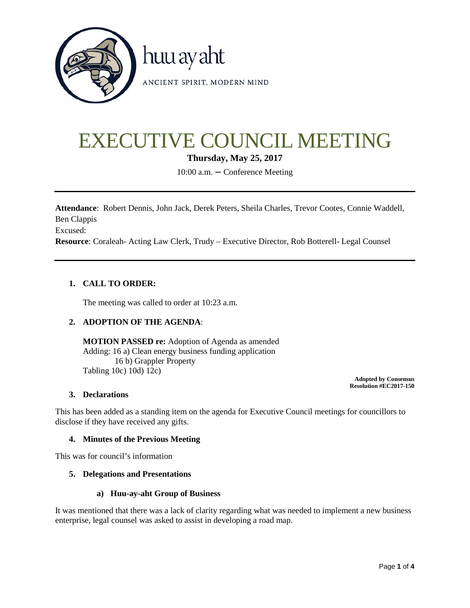

# EXECUTIVE COUNCIL MEETING

**Thursday, May 25, 2017**

10:00 a.m. **–** Conference Meeting

**Attendance**: Robert Dennis, John Jack, Derek Peters, Sheila Charles, Trevor Cootes, Connie Waddell, Ben Clappis Excused: **Resource**: Coraleah- Acting Law Clerk, Trudy – Executive Director, Rob Botterell- Legal Counsel

## **1. CALL TO ORDER:**

The meeting was called to order at 10:23 a.m.

## **2. ADOPTION OF THE AGENDA**:

**MOTION PASSED re:** Adoption of Agenda as amended Adding: 16 a) Clean energy business funding application 16 b) Grappler Property Tabling 10c) 10d) 12c)

**Adopted by Consensus Resolution #EC2017-150**

## **3. Declarations**

This has been added as a standing item on the agenda for Executive Council meetings for councillors to disclose if they have received any gifts.

## **4. Minutes of the Previous Meeting**

This was for council's information

#### **5. Delegations and Presentations**

#### **a) Huu-ay-aht Group of Business**

It was mentioned that there was a lack of clarity regarding what was needed to implement a new business enterprise, legal counsel was asked to assist in developing a road map.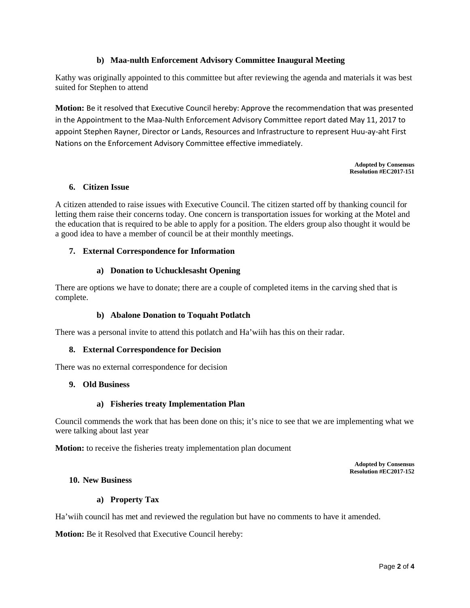## **b) Maa-nulth Enforcement Advisory Committee Inaugural Meeting**

Kathy was originally appointed to this committee but after reviewing the agenda and materials it was best suited for Stephen to attend

**Motion:** Be it resolved that Executive Council hereby: Approve the recommendation that was presented in the Appointment to the Maa-Nulth Enforcement Advisory Committee report dated May 11, 2017 to appoint Stephen Rayner, Director or Lands, Resources and Infrastructure to represent Huu-ay-aht First Nations on the Enforcement Advisory Committee effective immediately.

> **Adopted by Consensus Resolution #EC2017-151**

## **6. Citizen Issue**

A citizen attended to raise issues with Executive Council. The citizen started off by thanking council for letting them raise their concerns today. One concern is transportation issues for working at the Motel and the education that is required to be able to apply for a position. The elders group also thought it would be a good idea to have a member of council be at their monthly meetings.

## **7. External Correspondence for Information**

## **a) Donation to Uchucklesasht Opening**

There are options we have to donate; there are a couple of completed items in the carving shed that is complete.

## **b) Abalone Donation to Toquaht Potlatch**

There was a personal invite to attend this potlatch and Ha'wiih has this on their radar.

## **8. External Correspondence for Decision**

There was no external correspondence for decision

#### **9. Old Business**

#### **a) Fisheries treaty Implementation Plan**

Council commends the work that has been done on this; it's nice to see that we are implementing what we were talking about last year

**Motion:** to receive the fisheries treaty implementation plan document

**Adopted by Consensus Resolution #EC2017-152**

#### **10. New Business**

#### **a) Property Tax**

Ha'wiih council has met and reviewed the regulation but have no comments to have it amended.

**Motion:** Be it Resolved that Executive Council hereby: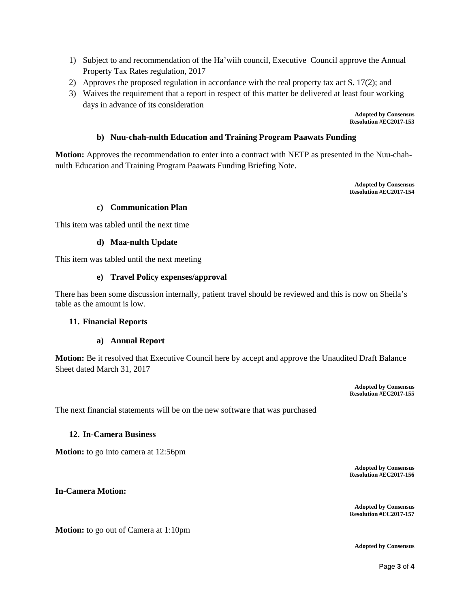- 1) Subject to and recommendation of the Ha'wiih council, Executive Council approve the Annual Property Tax Rates regulation, 2017
- 2) Approves the proposed regulation in accordance with the real property tax act S. 17(2); and
- 3) Waives the requirement that a report in respect of this matter be delivered at least four working days in advance of its consideration

**Adopted by Consensus Resolution #EC2017-153**

## **b) Nuu-chah-nulth Education and Training Program Paawats Funding**

**Motion:** Approves the recommendation to enter into a contract with NETP as presented in the Nuu-chahnulth Education and Training Program Paawats Funding Briefing Note.

> **Adopted by Consensus Resolution #EC2017-154**

## **c) Communication Plan**

This item was tabled until the next time

#### **d) Maa-nulth Update**

This item was tabled until the next meeting

#### **e) Travel Policy expenses/approval**

There has been some discussion internally, patient travel should be reviewed and this is now on Sheila's table as the amount is low.

#### **11. Financial Reports**

## **a) Annual Report**

**Motion:** Be it resolved that Executive Council here by accept and approve the Unaudited Draft Balance Sheet dated March 31, 2017

> **Adopted by Consensus Resolution #EC2017-155**

The next financial statements will be on the new software that was purchased

#### **12. In-Camera Business**

**Motion:** to go into camera at 12:56pm

**Adopted by Consensus Resolution #EC2017-156**

**In-Camera Motion:** 

**Motion:** to go out of Camera at 1:10pm

**Adopted by Consensus**

**Adopted by Consensus Resolution #EC2017-157**